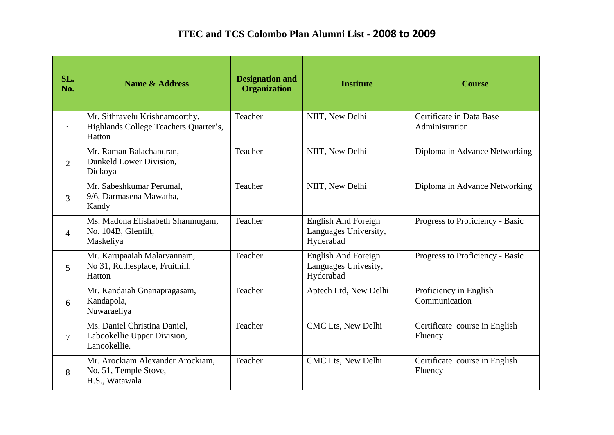## **ITEC and TCS Colombo Plan Alumni List - 2008 to 2009**

| SL.<br>No.     | <b>Name &amp; Address</b>                                                         | <b>Designation and</b><br>Organization | <b>Institute</b>                                                 | <b>Course</b>                              |
|----------------|-----------------------------------------------------------------------------------|----------------------------------------|------------------------------------------------------------------|--------------------------------------------|
| $\mathbf{1}$   | Mr. Sithravelu Krishnamoorthy,<br>Highlands College Teachers Quarter's,<br>Hatton | Teacher                                | NIIT, New Delhi                                                  | Certificate in Data Base<br>Administration |
| $\overline{2}$ | Mr. Raman Balachandran,<br>Dunkeld Lower Division,<br>Dickoya                     | Teacher                                | NIIT, New Delhi                                                  | Diploma in Advance Networking              |
| 3              | Mr. Sabeshkumar Perumal,<br>9/6, Darmasena Mawatha,<br>Kandy                      | Teacher                                | NIIT, New Delhi                                                  | Diploma in Advance Networking              |
| $\overline{4}$ | Ms. Madona Elishabeth Shanmugam,<br>No. 104B, Glentilt,<br>Maskeliya              | Teacher                                | <b>English And Foreign</b><br>Languages University,<br>Hyderabad | Progress to Proficiency - Basic            |
| 5              | Mr. Karupaaiah Malarvannam,<br>No 31, Rdthesplace, Fruithill,<br>Hatton           | Teacher                                | <b>English And Foreign</b><br>Languages Univesity,<br>Hyderabad  | Progress to Proficiency - Basic            |
| 6              | Mr. Kandaiah Gnanapragasam,<br>Kandapola,<br>Nuwaraeliya                          | Teacher                                | Aptech Ltd, New Delhi                                            | Proficiency in English<br>Communication    |
| 7              | Ms. Daniel Christina Daniel,<br>Labookellie Upper Division,<br>Lanookellie.       | Teacher                                | CMC Lts, New Delhi                                               | Certificate course in English<br>Fluency   |
| 8              | Mr. Arockiam Alexander Arockiam,<br>No. 51, Temple Stove,<br>H.S., Watawala       | Teacher                                | CMC Lts, New Delhi                                               | Certificate course in English<br>Fluency   |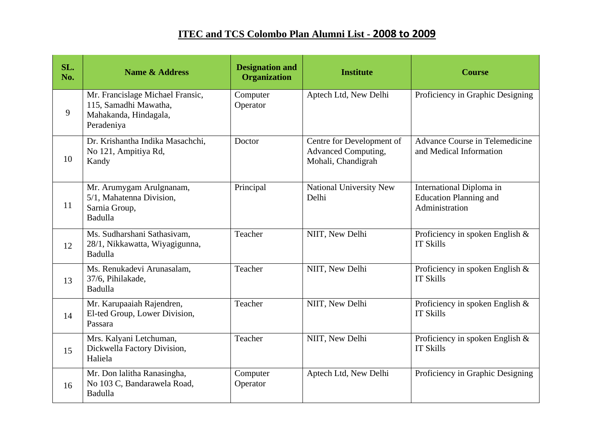## **ITEC and TCS Colombo Plan Alumni List - 2008 to 2009**

| SL.<br>No. | <b>Name &amp; Address</b>                                                                        | <b>Designation and</b><br><b>Organization</b> | <b>Institute</b>                                                              | <b>Course</b>                                                               |
|------------|--------------------------------------------------------------------------------------------------|-----------------------------------------------|-------------------------------------------------------------------------------|-----------------------------------------------------------------------------|
| 9          | Mr. Francislage Michael Fransic,<br>115, Samadhi Mawatha,<br>Mahakanda, Hindagala,<br>Peradeniya | Computer<br>Operator                          | Aptech Ltd, New Delhi                                                         | Proficiency in Graphic Designing                                            |
| 10         | Dr. Krishantha Indika Masachchi,<br>No 121, Ampitiya Rd,<br>Kandy                                | Doctor                                        | Centre for Development of<br><b>Advanced Computing,</b><br>Mohali, Chandigrah | <b>Advance Course in Telemedicine</b><br>and Medical Information            |
| 11         | Mr. Arumygam Arulgnanam,<br>5/1, Mahatenna Division,<br>Sarnia Group,<br>Badulla                 | Principal                                     | <b>National University New</b><br>Delhi                                       | International Diploma in<br><b>Education Planning and</b><br>Administration |
| 12         | Ms. Sudharshani Sathasivam,<br>28/1, Nikkawatta, Wiyagigunna,<br>Badulla                         | Teacher                                       | NIIT, New Delhi                                                               | Proficiency in spoken English $\&$<br><b>IT Skills</b>                      |
| 13         | Ms. Renukadevi Arunasalam,<br>37/6, Pihilakade,<br>Badulla                                       | Teacher                                       | NIIT, New Delhi                                                               | Proficiency in spoken English $&$<br><b>IT Skills</b>                       |
| 14         | Mr. Karupaaiah Rajendren,<br>El-ted Group, Lower Division,<br>Passara                            | Teacher                                       | NIIT, New Delhi                                                               | Proficiency in spoken English $&$<br><b>IT Skills</b>                       |
| 15         | Mrs. Kalyani Letchuman,<br>Dickwella Factory Division,<br>Haliela                                | Teacher                                       | NIIT, New Delhi                                                               | Proficiency in spoken English $&$<br><b>IT Skills</b>                       |
| 16         | Mr. Don lalitha Ranasingha,<br>No 103 C, Bandarawela Road,<br>Badulla                            | Computer<br>Operator                          | Aptech Ltd, New Delhi                                                         | Proficiency in Graphic Designing                                            |